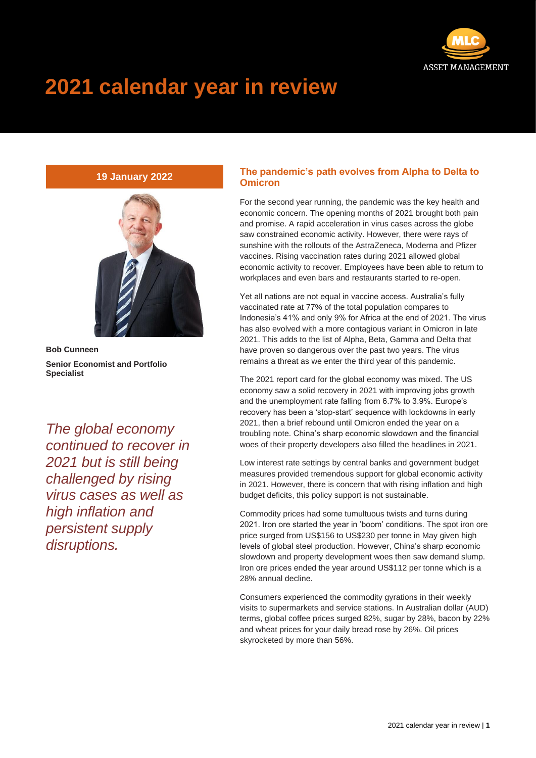

# **2021 calendar year in review**

## **19 January 2022**



**Bob Cunneen Senior Economist and Portfolio Specialist**

*The global economy continued to recover in 2021 but is still being challenged by rising virus cases as well as high inflation and persistent supply disruptions.*

### **The pandemic's path evolves from Alpha to Delta to Omicron**

For the second year running, the pandemic was the key health and economic concern. The opening months of 2021 brought both pain and promise. A rapid acceleration in virus cases across the globe saw constrained economic activity. However, there were rays of sunshine with the rollouts of the AstraZeneca, Moderna and Pfizer vaccines. Rising vaccination rates during 2021 allowed global economic activity to recover. Employees have been able to return to workplaces and even bars and restaurants started to re-open.

Yet all nations are not equal in vaccine access. Australia's fully vaccinated rate at 77% of the total population compares to Indonesia's 41% and only 9% for Africa at the end of 2021. The virus has also evolved with a more contagious variant in Omicron in late 2021. This adds to the list of Alpha, Beta, Gamma and Delta that have proven so dangerous over the past two years. The virus remains a threat as we enter the third year of this pandemic.

The 2021 report card for the global economy was mixed. The US economy saw a solid recovery in 2021 with improving jobs growth and the unemployment rate falling from 6.7% to 3.9%. Europe's recovery has been a 'stop-start' sequence with lockdowns in early 2021, then a brief rebound until Omicron ended the year on a troubling note. China's sharp economic slowdown and the financial woes of their property developers also filled the headlines in 2021.

Low interest rate settings by central banks and government budget measures provided tremendous support for global economic activity in 2021. However, there is concern that with rising inflation and high budget deficits, this policy support is not sustainable.

Commodity prices had some tumultuous twists and turns during 2021. Iron ore started the year in 'boom' conditions. The spot iron ore price surged from US\$156 to US\$230 per tonne in May given high levels of global steel production. However, China's sharp economic slowdown and property development woes then saw demand slump. Iron ore prices ended the year around US\$112 per tonne which is a 28% annual decline.

Consumers experienced the commodity gyrations in their weekly visits to supermarkets and service stations. In Australian dollar (AUD) terms, global coffee prices surged 82%, sugar by 28%, bacon by 22% and wheat prices for your daily bread rose by 26%. Oil prices skyrocketed by more than 56%.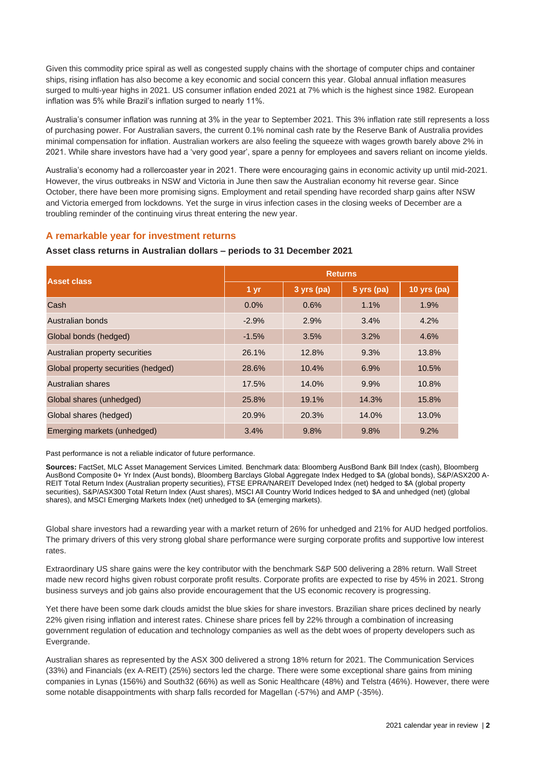Given this commodity price spiral as well as congested supply chains with the shortage of computer chips and container ships, rising inflation has also become a key economic and social concern this year. Global annual inflation measures surged to multi-year highs in 2021. US consumer inflation ended 2021 at 7% which is the highest since 1982. European inflation was 5% while Brazil's inflation surged to nearly 11%.

Australia's consumer inflation was running at 3% in the year to September 2021. This 3% inflation rate still represents a loss of purchasing power. For Australian savers, the current 0.1% nominal cash rate by the Reserve Bank of Australia provides minimal compensation for inflation. Australian workers are also feeling the squeeze with wages growth barely above 2% in 2021. While share investors have had a 'very good year', spare a penny for employees and savers reliant on income yields.

Australia's economy had a rollercoaster year in 2021. There were encouraging gains in economic activity up until mid-2021. However, the virus outbreaks in NSW and Victoria in June then saw the Australian economy hit reverse gear. Since October, there have been more promising signs. Employment and retail spending have recorded sharp gains after NSW and Victoria emerged from lockdowns. Yet the surge in virus infection cases in the closing weeks of December are a troubling reminder of the continuing virus threat entering the new year.

#### **A remarkable year for investment returns**

#### **Asset class returns in Australian dollars – periods to 31 December 2021**

| <b>Asset class</b>                  | <b>Returns</b> |            |            |             |
|-------------------------------------|----------------|------------|------------|-------------|
|                                     | 1 yr           | 3 yrs (pa) | 5 yrs (pa) | 10 yrs (pa) |
| Cash                                | 0.0%           | 0.6%       | 1.1%       | 1.9%        |
| Australian bonds                    | $-2.9%$        | 2.9%       | 3.4%       | 4.2%        |
| Global bonds (hedged)               | $-1.5%$        | 3.5%       | 3.2%       | 4.6%        |
| Australian property securities      | 26.1%          | 12.8%      | 9.3%       | 13.8%       |
| Global property securities (hedged) | 28.6%          | 10.4%      | 6.9%       | 10.5%       |
| Australian shares                   | 17.5%          | 14.0%      | 9.9%       | 10.8%       |
| Global shares (unhedged)            | 25.8%          | 19.1%      | 14.3%      | 15.8%       |
| Global shares (hedged)              | 20.9%          | 20.3%      | 14.0%      | 13.0%       |
| Emerging markets (unhedged)         | 3.4%           | 9.8%       | 9.8%       | 9.2%        |

Past performance is not a reliable indicator of future performance.

**Sources:** FactSet, MLC Asset Management Services Limited. Benchmark data: Bloomberg AusBond Bank Bill Index (cash), Bloomberg AusBond Composite 0+ Yr Index (Aust bonds), Bloomberg Barclays Global Aggregate Index Hedged to \$A (global bonds), S&P/ASX200 A-REIT Total Return Index (Australian property securities), FTSE EPRA/NAREIT Developed Index (net) hedged to \$A (global property securities), S&P/ASX300 Total Return Index (Aust shares), MSCI All Country World Indices hedged to \$A and unhedged (net) (global shares), and MSCI Emerging Markets Index (net) unhedged to \$A (emerging markets).

Global share investors had a rewarding year with a market return of 26% for unhedged and 21% for AUD hedged portfolios. The primary drivers of this very strong global share performance were surging corporate profits and supportive low interest rates.

Extraordinary US share gains were the key contributor with the benchmark S&P 500 delivering a 28% return. Wall Street made new record highs given robust corporate profit results. Corporate profits are expected to rise by 45% in 2021. Strong business surveys and job gains also provide encouragement that the US economic recovery is progressing.

Yet there have been some dark clouds amidst the blue skies for share investors. Brazilian share prices declined by nearly 22% given rising inflation and interest rates. Chinese share prices fell by 22% through a combination of increasing government regulation of education and technology companies as well as the debt woes of property developers such as Evergrande.

Australian shares as represented by the ASX 300 delivered a strong 18% return for 2021. The Communication Services (33%) and Financials (ex A-REIT) (25%) sectors led the charge. There were some exceptional share gains from mining companies in Lynas (156%) and South32 (66%) as well as Sonic Healthcare (48%) and Telstra (46%). However, there were some notable disappointments with sharp falls recorded for Magellan (-57%) and AMP (-35%).